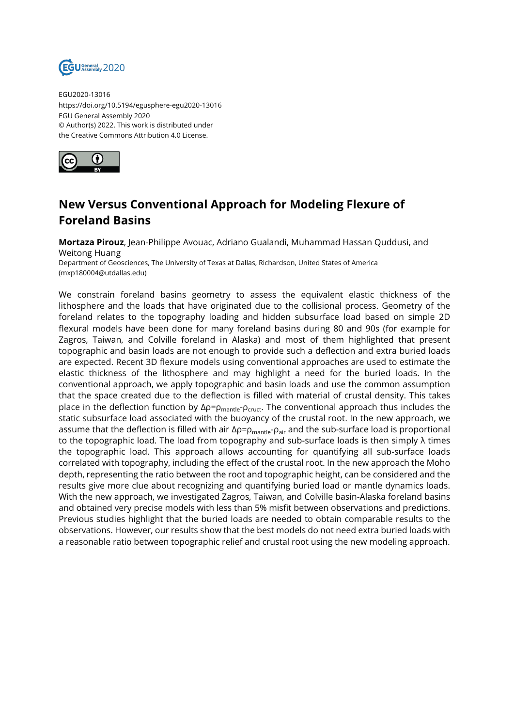

EGU2020-13016 https://doi.org/10.5194/egusphere-egu2020-13016 EGU General Assembly 2020 © Author(s) 2022. This work is distributed under the Creative Commons Attribution 4.0 License.



## **New Versus Conventional Approach for Modeling Flexure of Foreland Basins**

**Mortaza Pirouz**, Jean-Philippe Avouac, Adriano Gualandi, Muhammad Hassan Quddusi, and Weitong Huang

Department of Geosciences, The University of Texas at Dallas, Richardson, United States of America (mxp180004@utdallas.edu)

We constrain foreland basins geometry to assess the equivalent elastic thickness of the lithosphere and the loads that have originated due to the collisional process. Geometry of the foreland relates to the topography loading and hidden subsurface load based on simple 2D flexural models have been done for many foreland basins during 80 and 90s (for example for Zagros, Taiwan, and Colville foreland in Alaska) and most of them highlighted that present topographic and basin loads are not enough to provide such a deflection and extra buried loads are expected. Recent 3D flexure models using conventional approaches are used to estimate the elastic thickness of the lithosphere and may highlight a need for the buried loads. In the conventional approach, we apply topographic and basin loads and use the common assumption that the space created due to the deflection is filled with material of crustal density. This takes place in the deflection function by  $Δρ = ρ_{mantle} - ρ_{cruct}$ . The conventional approach thus includes the static subsurface load associated with the buoyancy of the crustal root. In the new approach, we assume that the deflection is filled with air  $\Delta \rho = \rho_{\text{mantle}} - \rho_{\text{air}}$  and the sub-surface load is proportional to the topographic load. The load from topography and sub-surface loads is then simply  $\lambda$  times the topographic load. This approach allows accounting for quantifying all sub-surface loads correlated with topography, including the effect of the crustal root. In the new approach the Moho depth, representing the ratio between the root and topographic height, can be considered and the results give more clue about recognizing and quantifying buried load or mantle dynamics loads. With the new approach, we investigated Zagros, Taiwan, and Colville basin-Alaska foreland basins and obtained very precise models with less than 5% misfit between observations and predictions. Previous studies highlight that the buried loads are needed to obtain comparable results to the observations. However, our results show that the best models do not need extra buried loads with a reasonable ratio between topographic relief and crustal root using the new modeling approach.